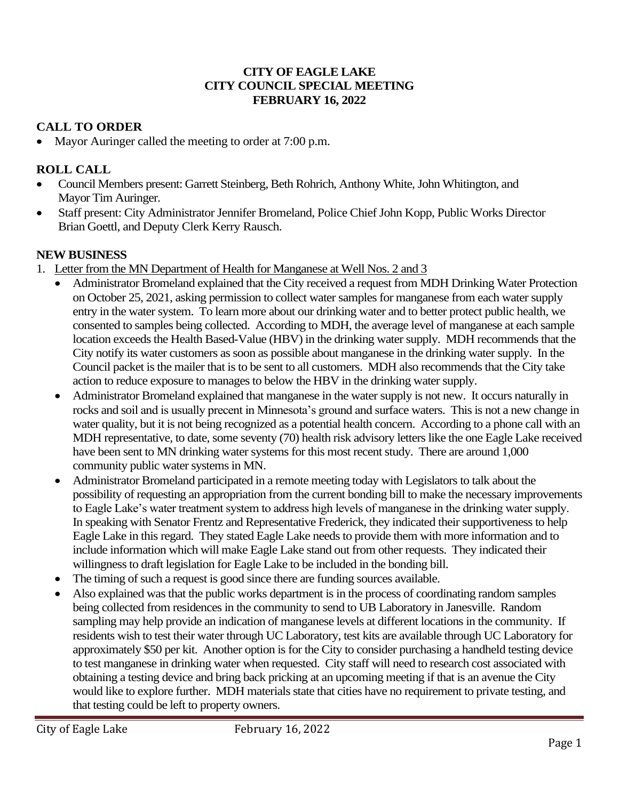### **CITY OF EAGLE LAKE CITY COUNCIL SPECIAL MEETING FEBRUARY 16, 2022**

# **CALL TO ORDER**

• Mayor Auringer called the meeting to order at 7:00 p.m.

# **ROLL CALL**

- Council Members present: Garrett Steinberg, Beth Rohrich, Anthony White, John Whitington, and Mayor Tim Auringer.
- Staff present: City Administrator Jennifer Bromeland, Police Chief John Kopp, Public Works Director Brian Goettl, and Deputy Clerk Kerry Rausch.

# **NEW BUSINESS**

- 1. Letter from the MN Department of Health for Manganese at Well Nos. 2 and 3
	- Administrator Bromeland explained that the City received a request from MDH Drinking Water Protection on October 25, 2021, asking permission to collect water samples for manganese from each water supply entry in the water system. To learn more about our drinking water and to better protect public health, we consented to samples being collected. According to MDH, the average level of manganese at each sample location exceeds the Health Based-Value (HBV) in the drinking water supply. MDH recommends that the City notify its water customers as soon as possible about manganese in the drinking water supply. In the Council packet is the mailer that is to be sent to all customers. MDH also recommends that the City take action to reduce exposure to manages to below the HBV in the drinking water supply.
	- Administrator Bromeland explained that manganese in the water supply is not new. It occurs naturally in rocks and soil and is usually precent in Minnesota's ground and surface waters. This is not a new change in water quality, but it is not being recognized as a potential health concern. According to a phone call with an MDH representative, to date, some seventy (70) health risk advisory letters like the one Eagle Lake received have been sent to MN drinking water systems for this most recent study. There are around 1,000 community public water systemsin MN.
	- Administrator Bromeland participated in a remote meeting today with Legislators to talk about the possibility of requesting an appropriation from the current bonding bill to make the necessary improvements to Eagle Lake's water treatment system to address high levels of manganese in the drinking water supply. In speaking with Senator Frentz and Representative Frederick, they indicated their supportiveness to help Eagle Lake in this regard. They stated Eagle Lake needs to provide them with more information and to include information which will make Eagle Lake stand out from other requests. They indicated their willingness to draft legislation for Eagle Lake to be included in the bonding bill.
	- The timing of such a request is good since there are funding sources available.
	- Also explained was that the public works department is in the process of coordinating random samples being collected from residences in the community to send to UB Laboratory in Janesville. Random sampling may help provide an indication of manganese levels at different locations in the community. If residents wish to test their water through UC Laboratory, test kits are available through UC Laboratory for approximately \$50 per kit. Another option is for the City to consider purchasing a handheld testing device to test manganese in drinking water when requested. City staff will need to research cost associated with obtaining a testing device and bring back pricking at an upcoming meeting if that is an avenue the City would like to explore further. MDH materials state that cities have no requirement to private testing, and that testing could be left to property owners.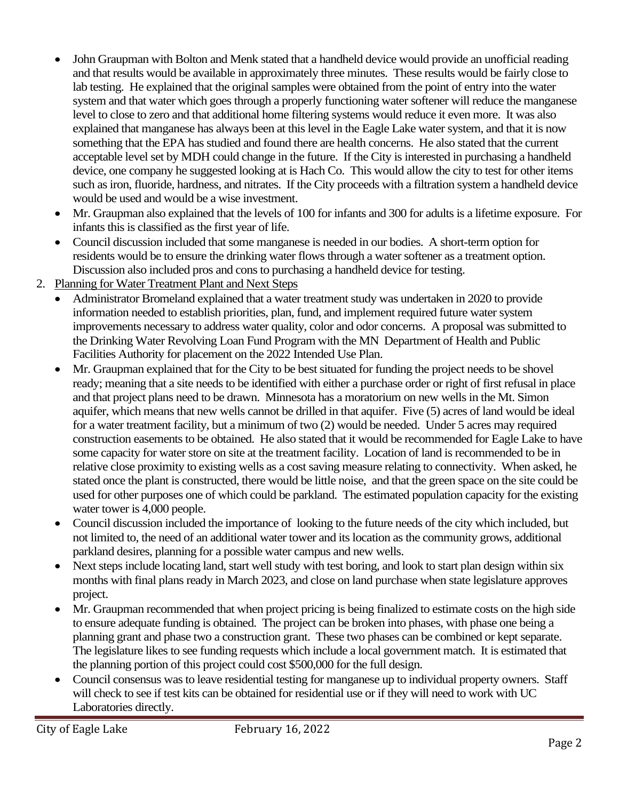- John Graupman with Bolton and Menk stated that a handheld device would provide an unofficial reading and that results would be available in approximately three minutes. These results would be fairly close to lab testing. He explained that the original samples were obtained from the point of entry into the water system and that water which goes through a properly functioning water softener will reduce the manganese level to close to zero and that additional home filtering systems would reduce it even more. It was also explained that manganese has always been at this level in the Eagle Lake water system, and that it is now something that the EPA has studied and found there are health concerns. He also stated that the current acceptable level set by MDH could change in the future. If the City is interested in purchasing a handheld device, one company he suggested looking at is Hach Co. This would allow the city to test for other items such as iron, fluoride, hardness, and nitrates. If the City proceeds with a filtration system a handheld device would be used and would be a wise investment.
- Mr. Graupman also explained that the levels of 100 for infants and 300 for adults is a lifetime exposure. For infants this is classified as the first year of life.
- Council discussion included that some manganese is needed in our bodies. A short-term option for residents would be to ensure the drinking water flows through a water softener as a treatment option. Discussion also included pros and cons to purchasing a handheld device for testing.
- 2. Planning for Water Treatment Plant and Next Steps
	- Administrator Bromeland explained that a water treatment study was undertaken in 2020 to provide information needed to establish priorities, plan, fund, and implement required future water system improvements necessary to address water quality, color and odor concerns. A proposal was submitted to the Drinking Water Revolving Loan Fund Program with the MN Department of Health and Public Facilities Authority for placement on the 2022 Intended Use Plan.
	- Mr. Graupman explained that for the City to be best situated for funding the project needs to be shovel ready; meaning that a site needs to be identified with either a purchase order or right of first refusal in place and that project plans need to be drawn. Minnesota has a moratorium on new wells in the Mt. Simon aquifer, which means that new wells cannot be drilled in that aquifer. Five (5) acres of land would be ideal for a water treatment facility, but a minimum of two (2) would be needed. Under 5 acres may required construction easements to be obtained. He also stated that it would be recommended for Eagle Lake to have some capacity for water store on site at the treatment facility. Location of land is recommended to be in relative close proximity to existing wells as a cost saving measure relating to connectivity. When asked, he stated once the plant is constructed, there would be little noise, and that the green space on the site could be used for other purposes one of which could be parkland. The estimated population capacity for the existing water tower is 4,000 people.
	- Council discussion included the importance of looking to the future needs of the city which included, but not limited to, the need of an additional water tower and its location as the community grows, additional parkland desires, planning for a possible water campus and new wells.
	- Next steps include locating land, start well study with test boring, and look to start plan design within six months with final plans ready in March 2023, and close on land purchase when state legislature approves project.
	- Mr. Graupman recommended that when project pricing is being finalized to estimate costs on the high side to ensure adequate funding is obtained. The project can be broken into phases, with phase one being a planning grant and phase two a construction grant. These two phases can be combined or kept separate. The legislature likes to see funding requests which include a local government match. It is estimated that the planning portion of this project could cost \$500,000 for the full design.
	- Council consensus was to leave residential testing for manganese up to individual property owners. Staff will check to see if test kits can be obtained for residential use or if they will need to work with UC Laboratories directly.